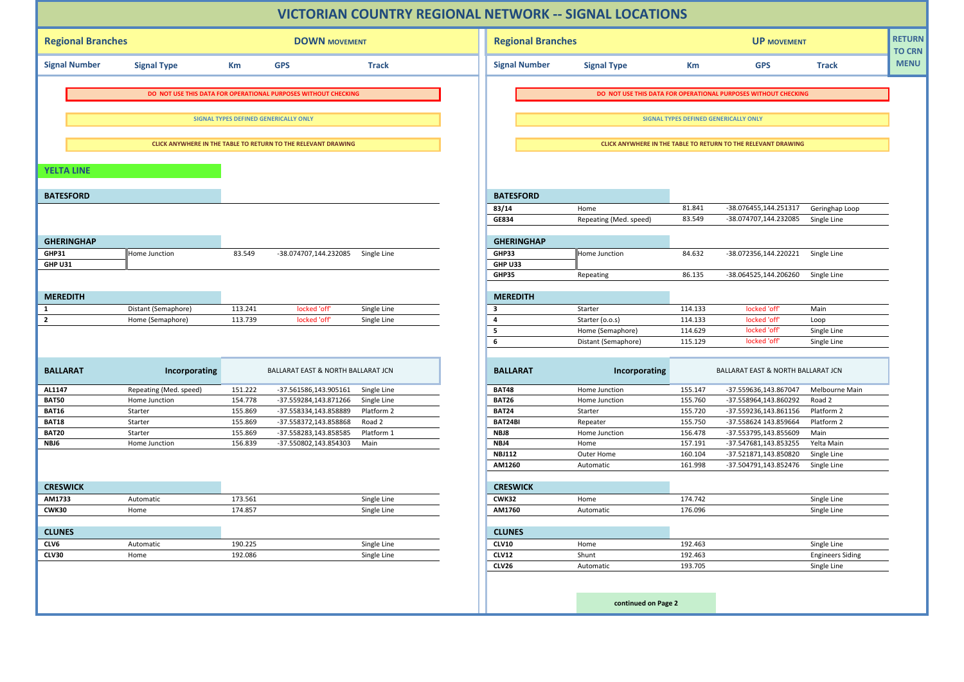| <b>Regional Branches</b><br><b>DOWN MOVEMENT</b>              |                        |         |                                                                | <b>Regional Branches</b> |                                                               |                                              | <b>UP MOVEMENT</b> |                                                                |                           |  |  |
|---------------------------------------------------------------|------------------------|---------|----------------------------------------------------------------|--------------------------|---------------------------------------------------------------|----------------------------------------------|--------------------|----------------------------------------------------------------|---------------------------|--|--|
| <b>Signal Number</b>                                          | <b>Signal Type</b>     | Km      | <b>GPS</b>                                                     | <b>Track</b>             | <b>Signal Number</b>                                          | <b>Signal Type</b>                           | Km                 | <b>GPS</b>                                                     | <b>Track</b>              |  |  |
|                                                               |                        |         |                                                                |                          |                                                               |                                              |                    |                                                                |                           |  |  |
|                                                               |                        |         | DO NOT USE THIS DATA FOR OPERATIONAL PURPOSES WITHOUT CHECKING |                          |                                                               |                                              |                    | DO NOT USE THIS DATA FOR OPERATIONAL PURPOSES WITHOUT CHECKING |                           |  |  |
|                                                               |                        |         | SIGNAL TYPES DEFINED GENERICALLY ONLY                          |                          |                                                               | <b>SIGNAL TYPES DEFINED GENERICALLY ONLY</b> |                    |                                                                |                           |  |  |
| CLICK ANYWHERE IN THE TABLE TO RETURN TO THE RELEVANT DRAWING |                        |         |                                                                |                          | CLICK ANYWHERE IN THE TABLE TO RETURN TO THE RELEVANT DRAWING |                                              |                    |                                                                |                           |  |  |
| <b>YELTA LINE</b>                                             |                        |         |                                                                |                          |                                                               |                                              |                    |                                                                |                           |  |  |
| <b>BATESFORD</b>                                              |                        |         |                                                                |                          | <b>BATESFORD</b>                                              |                                              |                    |                                                                |                           |  |  |
|                                                               |                        |         |                                                                |                          | 83/14                                                         | Home                                         | 81.841             | -38.076455,144.251317                                          | Geringhap Loop            |  |  |
|                                                               |                        |         |                                                                |                          | GE834                                                         | Repeating (Med. speed)                       | 83.549             | -38.074707,144.232085                                          | Single Line               |  |  |
| <b>GHERINGHAP</b>                                             |                        |         |                                                                |                          | <b>GHERINGHAP</b>                                             |                                              |                    |                                                                |                           |  |  |
| GHP31                                                         | Home Junction          | 83.549  | -38.074707,144.232085 Single Line                              |                          | GHP33                                                         | Home Junction                                | 84.632             | -38.072356,144.220221                                          | Single Line               |  |  |
| GHP U31                                                       |                        |         |                                                                |                          | GHP U33                                                       |                                              |                    |                                                                |                           |  |  |
|                                                               |                        |         |                                                                |                          | GHP35                                                         | Repeating                                    | 86.135             | -38.064525,144.206260                                          | Single Line               |  |  |
| <b>MEREDITH</b>                                               |                        |         |                                                                |                          | <b>MEREDITH</b>                                               |                                              |                    |                                                                |                           |  |  |
| 1                                                             | Distant (Semaphore)    | 113.241 | locked 'off'                                                   | Single Line              | $\overline{\mathbf{3}}$                                       | Starter                                      | 114.133            | locked 'off'                                                   | Main                      |  |  |
| $\overline{2}$                                                | Home (Semaphore)       | 113.739 | locked 'off'                                                   | Single Line              | $\overline{4}$                                                | Starter (o.o.s)                              | 114.133            | locked 'off'                                                   | Loop                      |  |  |
|                                                               |                        |         |                                                                |                          | 5                                                             | Home (Semaphore)                             | 114.629            | locked 'off'                                                   | Single Line               |  |  |
|                                                               |                        |         |                                                                |                          | 6                                                             | Distant (Semaphore)                          | 115.129            | locked 'off'                                                   | Single Line               |  |  |
| <b>BALLARAT</b>                                               | Incorporating          |         | BALLARAT EAST & NORTH BALLARAT JCN                             |                          | <b>BALLARAT</b>                                               | Incorporating                                |                    | BALLARAT EAST & NORTH BALLARAT JCN                             |                           |  |  |
| AL1147                                                        | Repeating (Med. speed) | 151.222 | -37.561586,143.905161                                          | Single Line              | <b>BAT48</b>                                                  | Home Junction                                | 155.147            | -37.559636,143.867047                                          | Melbourne Main            |  |  |
| <b>BAT50</b>                                                  | Home Junction          | 154.778 | -37.559284,143.871266                                          | Single Line              | <b>BAT26</b>                                                  | Home Junction                                | 155.760            | -37.558964,143.860292                                          | Road 2                    |  |  |
| <b>BAT16</b>                                                  | Starter                | 155.869 | -37.558334,143.858889                                          | Platform 2               | <b>BAT24</b>                                                  | Starter                                      | 155.720            | -37.559236,143.861156                                          | Platform 2                |  |  |
| <b>BAT18</b>                                                  | Starter                | 155.869 | -37.558372,143.858868                                          | Road 2                   | BAT24BI                                                       | Repeater                                     | 155.750            | -37.558624 143.859664                                          | Platform 2                |  |  |
| <b>BAT20</b>                                                  | Starter                | 155.869 | -37.558283,143.858585                                          | Platform 1               | NBJ8                                                          | Home Junction                                | 156.478            | -37.553795,143.855609                                          | Main                      |  |  |
| NBJ6                                                          | Home Junction          | 156.839 | -37.550802,143.854303                                          | Main                     | NBJ4<br><b>NBJ112</b>                                         | Home                                         | 157.191<br>160.104 | -37.547681,143.853255<br>-37.521871,143.850820                 | Yelta Main<br>Single Line |  |  |
|                                                               |                        |         |                                                                |                          | AM1260                                                        | Outer Home<br>Automatic                      | 161.998            | -37.504791,143.852476                                          | Single Line               |  |  |
| <b>CRESWICK</b>                                               |                        |         |                                                                |                          | <b>CRESWICK</b>                                               |                                              |                    |                                                                |                           |  |  |
| AM1733                                                        | Automatic              | 173.561 |                                                                | Single Line              | <b>CWK32</b>                                                  | Home                                         | 174.742            |                                                                | Single Line               |  |  |
| CWK30                                                         | Home                   | 174.857 |                                                                | Single Line              | AM1760                                                        | Automatic                                    | 176.096            |                                                                | Single Line               |  |  |
| <b>CLUNES</b>                                                 |                        |         |                                                                |                          | <b>CLUNES</b>                                                 |                                              |                    |                                                                |                           |  |  |
| CLV6                                                          | Automatic              | 190.225 |                                                                | Single Line              | <b>CLV10</b>                                                  | Home                                         | 192.463            |                                                                | Single Line               |  |  |
| <b>CLV30</b>                                                  | Home                   | 192.086 |                                                                | Single Line              | <b>CLV12</b>                                                  | Shunt                                        | 192.463            |                                                                | <b>Engineers Siding</b>   |  |  |
|                                                               |                        |         |                                                                |                          | <b>CLV26</b>                                                  | Automatic                                    | 193.705            |                                                                | Single Line               |  |  |
|                                                               |                        |         |                                                                |                          |                                                               |                                              |                    |                                                                |                           |  |  |
|                                                               |                        |         |                                                                |                          |                                                               |                                              |                    |                                                                |                           |  |  |
|                                                               |                        |         |                                                                |                          |                                                               | continued on Page 2                          |                    |                                                                |                           |  |  |